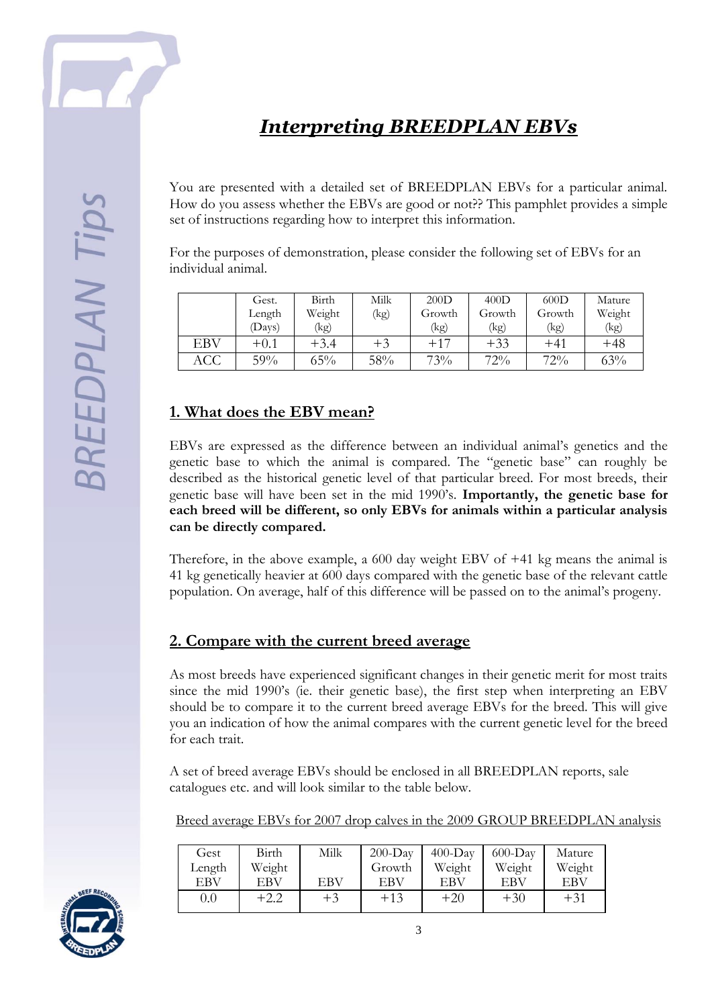

# *Interpreting BREEDPLAN EBVs*

You are presented with a detailed set of BREEDPLAN EBVs for a particular animal. How do you assess whether the EBVs are good or not?? This pamphlet provides a simple set of instructions regarding how to interpret this information.

For the purposes of demonstration, please consider the following set of EBVs for an individual animal.

|            | Gest.  | Birth  | Milk | 200D   | 400D   | 600D   | Mature |
|------------|--------|--------|------|--------|--------|--------|--------|
|            | Length | Weight | (kg) | Growth | Growth | Growth | Weight |
|            | Days)  | (kg)   |      | (kg)   | (kg)   | (kg)   | (kg)   |
| <b>EBV</b> | $+0.1$ | +3.4   | $+3$ | $+17$  | $+33$  | $+41$  | $+48$  |
| ACC        | 59%    | $65\%$ | 58%  | 73%    | 72%    | 72%    | 63%    |

### **1. What does the EBV mean?**

EBVs are expressed as the difference between an individual animal's genetics and the genetic base to which the animal is compared. The "genetic base" can roughly be described as the historical genetic level of that particular breed. For most breeds, their genetic base will have been set in the mid 1990's. **Importantly, the genetic base for each breed will be different, so only EBVs for animals within a particular analysis can be directly compared.** 

Therefore, in the above example, a 600 day weight EBV of +41 kg means the animal is 41 kg genetically heavier at 600 days compared with the genetic base of the relevant cattle population. On average, half of this difference will be passed on to the animal's progeny.

#### **2. Compare with the current breed average**

As most breeds have experienced significant changes in their genetic merit for most traits since the mid 1990's (ie. their genetic base), the first step when interpreting an EBV should be to compare it to the current breed average EBVs for the breed. This will give you an indication of how the animal compares with the current genetic level for the breed for each trait.

A set of breed average EBVs should be enclosed in all BREEDPLAN reports, sale catalogues etc. and will look similar to the table below.

Breed average EBVs for 2007 drop calves in the 2009 GROUP BREEDPLAN analysis

| Gest   | Birth  | Milk | $200-Dav$ | $400-Dav$ | $600$ -Day | Mature |
|--------|--------|------|-----------|-----------|------------|--------|
| Length | Weight |      | Growth    | Weight    | Weight     | Weight |
| EBV    | EBV    | EBV  | EBV       | EBV       | EBV        | EBV    |
| 0.0    | $+2.2$ | $+3$ | $+13$     | $+20$     | $+30$      | $+31$  |

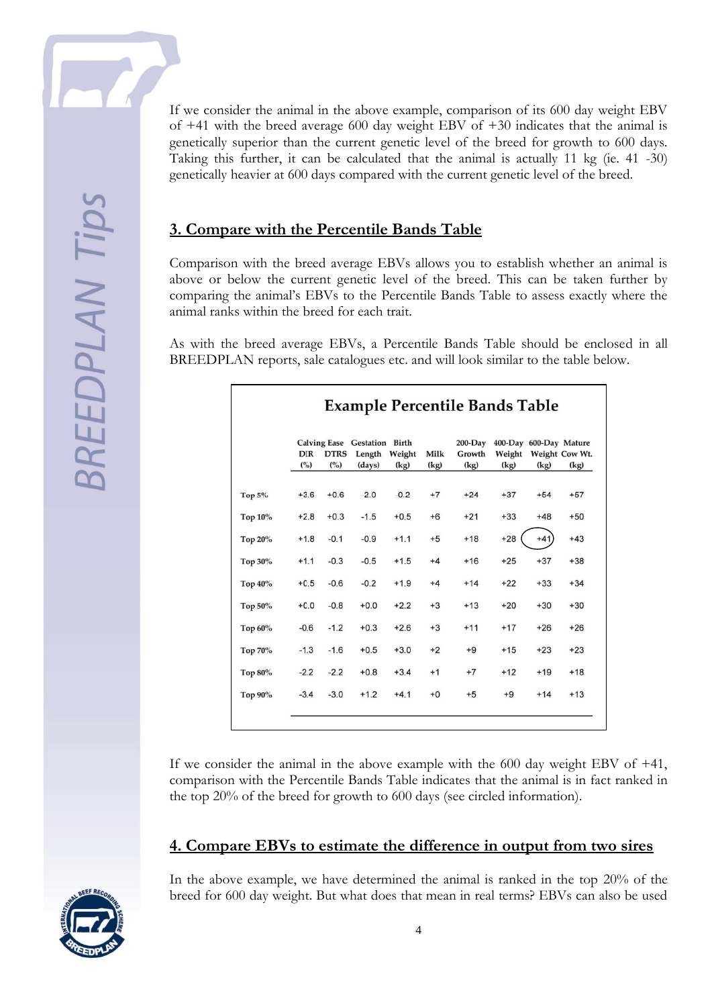If we consider the animal in the above example, comparison of its 600 day weight EBV of +41 with the breed average 600 day weight EBV of +30 indicates that the animal is genetically superior than the current genetic level of the breed for growth to 600 days. Taking this further, it can be calculated that the animal is actually 11 kg (ie. 41 -30) genetically heavier at 600 days compared with the current genetic level of the breed.

#### **3. Compare with the Percentile Bands Table**

Comparison with the breed average EBVs allows you to establish whether an animal is above or below the current genetic level of the breed. This can be taken further by comparing the animal's EBVs to the Percentile Bands Table to assess exactly where the animal ranks within the breed for each trait.

As with the breed average EBVs, a Percentile Bands Table should be enclosed in all BREEDPLAN reports, sale catalogues etc. and will look similar to the table below.

|           | <b>DIR</b><br>(° <sub>o</sub> ) | <b>DTRS</b><br>(° <sub>o</sub> ) | Calving Ease Gestation Birth<br>Length<br>(days) | Weight<br>(kg) | Milk<br>(kg) | $200$ -Day<br>Growth<br>(kg) | 400-Day 600-Day Mature<br>Weight<br>(kg) | (kg)   | Weight Cow Wt.<br>(kg) |
|-----------|---------------------------------|----------------------------------|--------------------------------------------------|----------------|--------------|------------------------------|------------------------------------------|--------|------------------------|
| Top $5\%$ | $+3.6$                          | $+0.6$                           | $-2.0$                                           | $-0.2$         | $+7$         | $+24$                        | $+37$                                    | $+54$  | $+57$                  |
| Top 10%   | $+2.8$                          | $+0.3$                           | $-1.5$                                           | $+0.5$         | $+6$         | $+21$                        | $+33$                                    | $+48$  | $+50$                  |
| Top 20%   | $+1.8$                          | $-0.1$                           | $-0.9$                                           | $+1.1$         | $+5$         | $+18$                        | $+28$                                    | $+41)$ | $+43$                  |
| Top 30%   | $+1.1$                          | $-0.3$                           | $-0.5$                                           | $+1.5$         | $+4$         | $+16$                        | $+25$                                    | $+37$  | $+38$                  |
| Top 40%   | $+0.5$                          | $-0.6$                           | $-0.2$                                           | $+1.9$         | $+4$         | $+14$                        | $+22$                                    | $+33$  | $+34$                  |
| Top 50%   | $+0.0$                          | $-0.8$                           | $+0.0$                                           | $+2.2$         | $+3$         | $+13$                        | $+20$                                    | $+30$  | $+30$                  |
| Top 60%   | $-0.6$                          | $-1.2$                           | $+0.3$                                           | $+2.6$         | $+3$         | $+11$                        | $+17$                                    | $+26$  | $+26$                  |
| Top 70%   | $-1.3$                          | $-1.6$                           | $+0.5$                                           | $+3.0$         | $+2$         | $+9$                         | $+15$                                    | $+23$  | $+23$                  |
| Top 80%   | $-2.2$                          | $-2.2$                           | $+0.8$                                           | $+3.4$         | $+1$         | $+7$                         | $+12$                                    | $+19$  | $+18$                  |
| Top 90%   | $-3.4$                          | $-3.0$                           | $+1.2$                                           | $+4.1$         | $+0$         | $+5$                         | $+9$                                     | $+14$  | $+13$                  |

If we consider the animal in the above example with the 600 day weight EBV of +41, comparison with the Percentile Bands Table indicates that the animal is in fact ranked in the top 20% of the breed for growth to 600 days (see circled information).

#### **4. Compare EBVs to estimate the difference in output from two sires**



In the above example, we have determined the animal is ranked in the top 20% of the breed for 600 day weight. But what does that mean in real terms? EBVs can also be used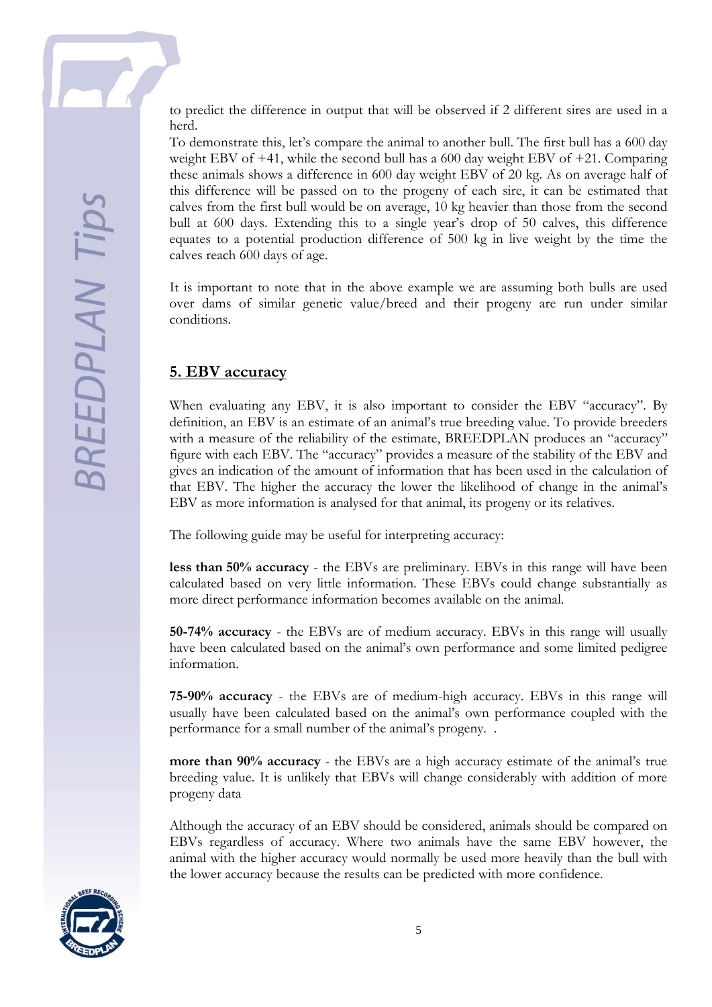to predict the difference in output that will be observed if 2 different sires are used in a herd.

To demonstrate this, let's compare the animal to another bull. The first bull has a 600 day weight EBV of +41, while the second bull has a 600 day weight EBV of +21. Comparing these animals shows a difference in 600 day weight EBV of 20 kg. As on average half of this difference will be passed on to the progeny of each sire, it can be estimated that calves from the first bull would be on average, 10 kg heavier than those from the second bull at 600 days. Extending this to a single year's drop of 50 calves, this difference equates to a potential production difference of 500 kg in live weight by the time the calves reach 600 days of age.

It is important to note that in the above example we are assuming both bulls are used over dams of similar genetic value/breed and their progeny are run under similar conditions.

#### **5. EBV accuracy**

When evaluating any EBV, it is also important to consider the EBV "accuracy". By definition, an EBV is an estimate of an animal's true breeding value. To provide breeders with a measure of the reliability of the estimate, BREEDPLAN produces an "accuracy" figure with each EBV. The "accuracy" provides a measure of the stability of the EBV and gives an indication of the amount of information that has been used in the calculation of that EBV. The higher the accuracy the lower the likelihood of change in the animal's EBV as more information is analysed for that animal, its progeny or its relatives.

The following guide may be useful for interpreting accuracy:

**less than 50% accuracy** - the EBVs are preliminary. EBVs in this range will have been calculated based on very little information. These EBVs could change substantially as more direct performance information becomes available on the animal.

**50-74% accuracy** - the EBVs are of medium accuracy. EBVs in this range will usually have been calculated based on the animal's own performance and some limited pedigree information.

**75-90% accuracy** - the EBVs are of medium-high accuracy. EBVs in this range will usually have been calculated based on the animal's own performance coupled with the performance for a small number of the animal's progeny. .

**more than 90% accuracy** - the EBVs are a high accuracy estimate of the animal's true breeding value. It is unlikely that EBVs will change considerably with addition of more progeny data

Although the accuracy of an EBV should be considered, animals should be compared on EBVs regardless of accuracy. Where two animals have the same EBV however, the animal with the higher accuracy would normally be used more heavily than the bull with the lower accuracy because the results can be predicted with more confidence.